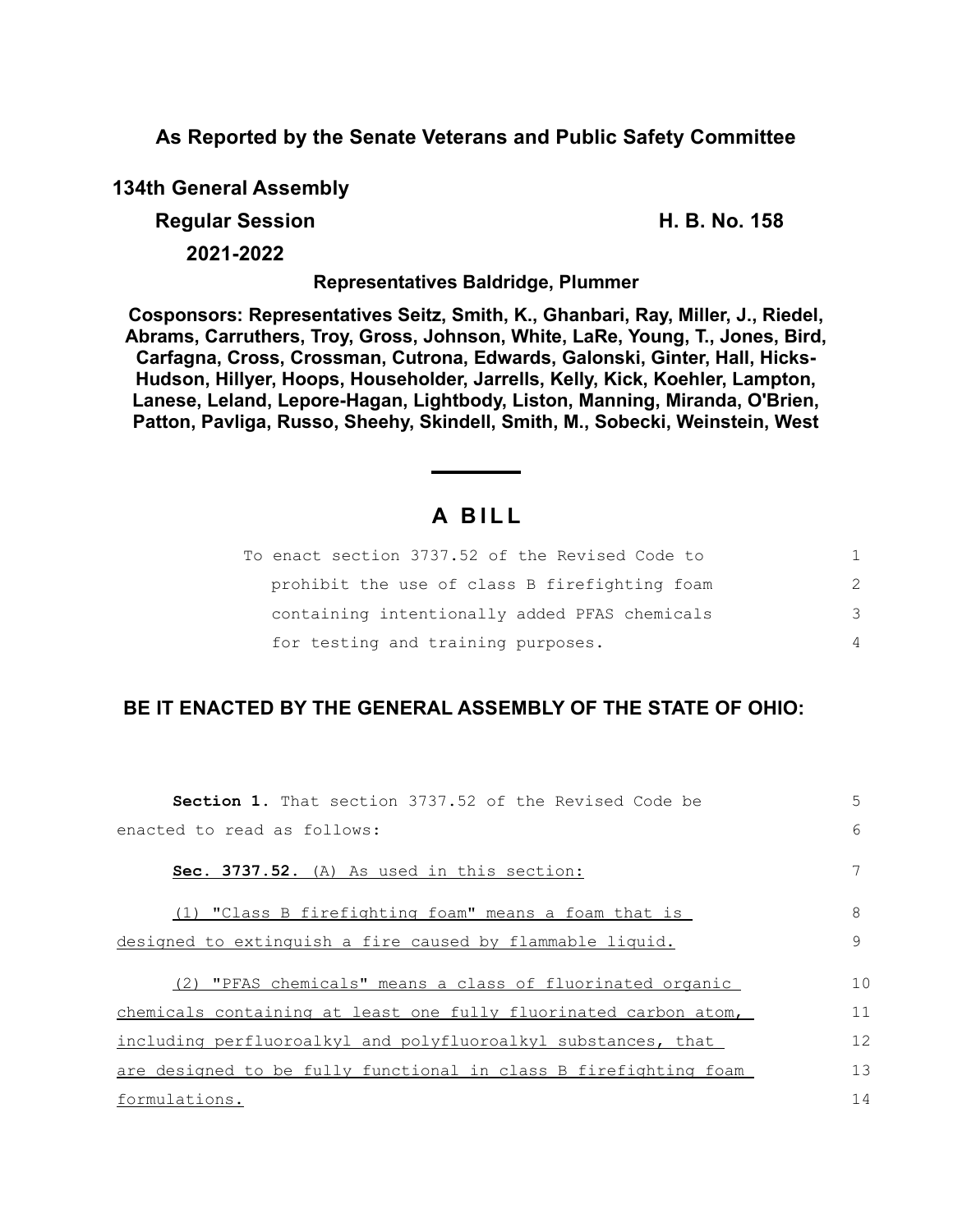**As Reported by the Senate Veterans and Public Safety Committee**

**134th General Assembly**

**Regular Session H. B. No. 158**

**2021-2022**

**Representatives Baldridge, Plummer**

**Cosponsors: Representatives Seitz, Smith, K., Ghanbari, Ray, Miller, J., Riedel, Abrams, Carruthers, Troy, Gross, Johnson, White, LaRe, Young, T., Jones, Bird, Carfagna, Cross, Crossman, Cutrona, Edwards, Galonski, Ginter, Hall, Hicks-Hudson, Hillyer, Hoops, Householder, Jarrells, Kelly, Kick, Koehler, Lampton, Lanese, Leland, Lepore-Hagan, Lightbody, Liston, Manning, Miranda, O'Brien, Patton, Pavliga, Russo, Sheehy, Skindell, Smith, M., Sobecki, Weinstein, West**

## **A B I L L**

| To enact section 3737.52 of the Revised Code to |               |
|-------------------------------------------------|---------------|
| prohibit the use of class B firefighting foam   | $\mathcal{P}$ |
| containing intentionally added PFAS chemicals   | 3             |
| for testing and training purposes.              | 4             |

## **BE IT ENACTED BY THE GENERAL ASSEMBLY OF THE STATE OF OHIO:**

| <b>Section 1.</b> That section 3737.52 of the Revised Code be    | 5  |
|------------------------------------------------------------------|----|
| enacted to read as follows:                                      | 6  |
| Sec. 3737.52. (A) As used in this section:                       | 7  |
| (1) "Class B firefighting foam" means a foam that is             | 8  |
| designed to extinguish a fire caused by flammable liquid.        | 9  |
| (2) "PFAS chemicals" means a class of fluorinated organic        | 10 |
| chemicals containing at least one fully fluorinated carbon atom, | 11 |
| including perfluoroalkyl and polyfluoroalkyl substances, that    | 12 |
| are designed to be fully functional in class B firefighting foam | 13 |
| formulations.                                                    | 14 |